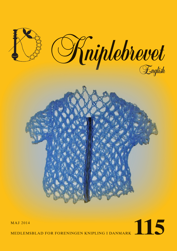

# MAJ 2014<br>MEDLEMSBLAD FOR FORENINGEN KNIPLING I DANMARK

MEDLEMSBLAD FOR FORENINGEN KNIPLING I DANMARK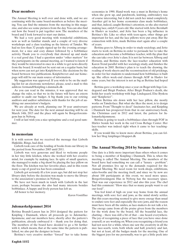## **Dear members**

The Annual Meeting is well over and done with, and we are continuing with the same board-members as before the meeting. You can find the minutes from the meeting in this magazine, and also see some pictures from the day. You can also find out how the board is put together now. The members of the board and I look forward to start our duties.

We had a very good meeting with wonderful exhibitions, new as well as familiar stands, and a couple of very diverse workshops and a class teaching us the history of Tønder. We had no less than 32 people signed up for the evening arrangement, for a nice and cozy dinner followed by a bobbinlace activity. Thank you to everybody that showed up and made it a real good day. I had a question under "other matters" for the participants on the annual meeting, as I wanted to know if they would be interested in once in a while to get news directly from the board. It would not be sent out on a regular basis, but when news can not get into Kniplebrevet, like decisions by the board between two publications. Kniplebrevet and our homepage will still be our main source of information.

My suggestion was approved. If you wish to be on the mailing-list for an electronic newsletter, please, send a mail to this address: formand@knipling-i-danmark.dk

As you can read in the minutes, it was approved that we change the rules, so that we in the future will have an extern auditor to audit our budget. A big thank you to our retiring auditors and auditor substitutes, with thanks for the job of auditing our association's budgets.

We are already at work, planning our 30 year anniversary for next year. The date for the next annual meeting will be on March 14th, 2015 and the place will again be Borgerforeningens hus in Nyborg.

I will at last wish you a nice springtime and a real good summer.

#### **In memoriam**

It is with sorrow that we received the message that Lisbeth Højkilde, Ringe, had died.

Lisbeth took care of the lending of books from our library in the period from November 2005 until 2011.

Lisbeth was very generous and liked to welcome people in her tiny little kitchen, where she worked with her creative mind, for example by making lace. In spite of small quarters, she managed to make a big shawl by placing the lace pillow on the floor. The kitchen was her favorite place, and in this room many a cup of good tea has been consumed.

Lisbeth got seriously ill a few years ago, but did not stop her library-duty before the decision was made to move the library to the association's premises in Nyborg.

We have not been much in touch with Lisbeth in the last years, perhaps because she also had many interests besides bobbinlace. A happy and lively person has left us.

All honor to her memory.

*Karen Vontillius*

#### **Julemærkehjemmet 2014**

Bettina Brandt-Lassen has in 2014 designed the pattern for Knipling i Danmark, where all proceeds go to Julemærkehjemmene, and our members have, shortly after the pattern's publication, already embraced it – thank you for doing that. The members of the board have decided to go a bit further with it, which means, that at the same time the pattern is published, we also put the designer in focus.

Bettina's very creative mother "forced" her to take home

economics in 1990. Hand-work was a must in Bettina's home when she grew up, and patchwork, knitting, embroidery was of course interesting, but it did not catch her mind completely. Another girl in her home economics class made bobbinlace, and that, indeed, caught Bettina's attention, so she also started making lace, only8-9 years old. She started with Jette Bernhøft in Haslev as teacher, and Jette has been a big influence in Bettina's life. Like so often with teen-agers, other things got important for her, and the lace pillows were put away. But the connection with Jette, made Bettina start again after a couple of years.

Bettina goes to Ålborg in order to study sociology, and Jette starts to work on Bettina in order to persuade her to take the education and become a bobbinlace teacher, with the plan that she can take over Jette's class. It is not far between Ålborg and Horsens, and Bettina starts the lace-teacher education with Karen Trend parallel with her sociology-study, and finishes the education in 2005. Bettina's plan is to teach the drawing, the reading of work-sheets and the reconstruction of old prickings, in order for her students to understand how bobbinlace is built up. She offers week-end classes through AOF in Haslev for some years, but the interest is not as big as Bettina had hoped for.

Bettina gave a workshop once a year on Bogø with Inge Lindegaard and Birgit Poulsen. After Birgit Poulsen's death, she holds her yearly workshop with Inge Lindegaard, Else Byskou and "Kniplerier".

When Bettina sits down with her lace pillow, she mostly works on Tønderlace. But what she likes the most, is to design patterns. From"Thought to deed" fascinates her, and Knipling i Danmark has prospered from that in our anniversary-book, the Christmas card in 2012 and latest, the pattern for Julemærkehjemmene.

Bettina is going to teach a bobbinlace-class through FOF in Hårlev beside her work in the red Cross Refuge Center. Her lace-teacher was indeed right when it came to her teachingskills.

If you would like to know more about Bettina, you can follow her blog: kniplinger.blogspot.dk

#### **The Annual Meeting 2014 by Susanne Andersen**

One date is a little more important than others when it comes to being a member of Knipling i Danmark. This is, when the meeting is called The Annual Meeting. The members of the board have had something we can call a "luxury – problem". Not all premises live up to the demands required for the Annual Meeting. We need room for work-shops, exhibitions, sales-booths and the meeting itself, and since we by now are about 100 participants at this event, we need more space. Borgerforeningens Hus in Nyborg has the necessary space. That was our experience in 2012 and also this year. The chef had this comment: "How nice that so many people want to eat our food".

You feel kind of high on your way home from the annual meetings, with sore feet and jaws, as the mind slowly settles. But this years meeting seemed to give more energy than usual to endure sore feet and especially the sore jaws, and the reason must have been all the smiles, as lace-makers do not talk a lot. The energy came from all the praise given from the members for the work done by the board. All the beautiful lace, the chatting – there was still a bit of that – one heard everywhere. The joy of recognizing a piece of lace that you have once done yourself, or are working on. When you recognizing a friend you had not seen for a while, when one saw the creativity in all the nice lace-scarfs, vests, both whole and half, jewelery and last, but not at least, all the badges made for the meeting. One of the biggest joys for me personally, was to get a little peek into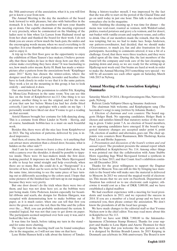the 30th anniversary of the association, what it is, you will first get to know a year from now.

The Annual Meeting is the day the members of the board look forward to with pleasure, but also with butterflies in the stomach. It is here, that you members will turn your thumbs up or down. Our capable chairman of the meeting expressed it very precisely, when he commented on the blushing of the ladies next to him when Lis Larsen from Hadsund stood up from her chair and thanked the board for their work. I do not think you are aware of how much the back-pats, the smiles and the encouraging words means, when we need everything to fit together. It is your thumbs up that makes us continue our work and to enjoy it.

A trip up to the first floor gave us the opportunity to enjoy the exhibition of Hans Tausen's lace makers. I believe personally, that these ladies do lace in their sleep, how can they otherwise make everything they have done? It was fascinating to see, how much color means. Ketty H. Busk has made a winterpicture after a pattern from the associations book "Kniplinger anno 2011" Ketty has chosen the winter-colors, where the designer used the colors of purple, lavender and heather. One have to look closely in order to see that it is the same pattern. They work a lot on the mounting in this group, it has to look orderly – and indeed, it does.

Our association had the permission to exhibit Frk. Knipling by Mona-Lisa Pedersen in the same room. You can see this lace on the front of Kniplebrevet no.113. One thing is to see a picture, another thing to see the original, and for the ones of you that saw her before Mona-Lisa had her cloths fitted correctly, I just have to apologize with a smile on my lips – I personally would have liked our dear Yvonne to get a reading on that account.

Astrid Hansen brought her costume for folk-dancing along. This is a costume from Øster Lindet in North – Slesvig, and of course, handmade bobbin-lace is a must on such beautiful work.

Besides this, there were all the nice lace from Kniplebrevet in 2013. The big selection of patterns, delivered by you, is indeed impressive.

And then, of course, the two closed doors, - is it anything that can attract more attention than a closed door, because, what is hidden on the other side??

And I am far too curious to leave a closed door alone, but with a camera over the shoulder, it should be possible to tippytoe inside. There were 16 lace-makers inside the first door, looking puzzled. It impresses me that Else Marie Bjerregaard is able to keep her mind straight and help everybody, when there are so many. But, she could do it, as "Starground" is a favorite of hers, what can be seen on her beautiful lace. It is, at the same time, interesting to see the same piece of lace turning out so differently according to the colors used. I hope that some pictures of the finished lace will turn up in our magazine, because they were very pretty.

But one door doesn't do the trick when there were two of them, and lace was not done here yet, as the bobbins were just being made. Gitte Pedersen, known especially for beautiful ribbons and scarfs, she designs for Hedens Hørgarn, was occupied with demonstrating how to make bobbins out of paper, as it is much easier, when one can tell that first you move the green one over the red, then the blue and the yellow over the.......Well, you can probably understand the system. It sounded logical, but was not that easy to get down on paper. The participants seemed surprised over how easy it was, and it looked like lots of fun.

It was time for lunch, before taking my turn in the stand – and for some more chatting.

The report from the meeting itself can be found someplace else in the magazine, so I will not use time on that here.

Lene Holm Hansen held a talk about the history of Tønder.

Being a history-teacher myself, I was impressed by the fact that she was able to start on the period of the Glacial Time and go on until today in just one hour. This talk is also described someplace else in the magazine.

After finishing the cleaning up, it was time for dinner – the menu was veal-roast, roasted as venison, with Waldorf-salad, pickles, roasted potatoes and gravy a la venison, and for desert, nut-basket with vanilla-cream and raspberry-souse, and coffee to drink. One of our members made the remark, that the sofa was tempting, but no, we had to make lace. Sonia Andersen, our pattern-coordinator, had decided, that we should make s'Gravenmoer, to much joy, fun and also frustration for the participants. According to comments uttered, it was a bit of a challenge. Good, that there were three teachers, and they were called upon all the time. During this, the last members of the board left the company and took care of the last cleaning-up, packing down and away, so we are ready for the setting-up at Hjallerup next week-end. Our brains are hard at work in order to make the Annual Meeting 2015 something very special – we will by all accounts see each other again on Saturday, March 14th 2015 in Nyborg.

## **Annual Meeting of the Association Knipling i Danmarks**

Saturday March 29 2014, i Borgerforeningens Hus, Nørrevoldgade, Nyborg.

Referat: Linda Valbjørn Olsen og Susanne Andersen

The chairman bids welcome, and Kniplepigens sang (The lacemaker's song) is sung (written by Johanne Banke).

*1. Election of chairman and vote counters:* The board suggests Holger Busk. No opposing candidates. Holger Busk is chosen and satisfies himself that statutory notice of the meeting is given. Under point 7.A. no election of board members, as no opposing candidates have emerged. If the board's suggested statutory changes are accepted under point 6, point 7.B., election of auditor and alternates, goes out. The chair appoints vote counters Bent Rasmussen, Bibi Tholstrup, Karna Pind, Lis and Birthe Jeppesen.

*2. Presentation and discussion of the board's written and oral annual report.* The president presents the annual report which was published in Kniplebrevet No. 114. Among other things it was pointed out that the collaboration with Anne Stubbe Horn regarding Inge Wind Skovgaard formed a synthesis in Tønder in June 2013, and that Count Axel's exhibition continues till December 2014.

Thanks for the great willingness to support the Dagmar School in Moscow. You can still do this by bringing lace materials to the board who will make sure the material is delivered to Moscow. In 2013 we entered the magical world of electronics. This means that we are now on Facebook. Department of Taxation has ordered us to use electronic cash register, otherwise it would cost us a fine of DKK 5,000.00, and we have established a digital mailbox

We had excellent experience with a meeting for local presidents and teachers in 2013, and we repeated the success in 2014. If you are a member of a local group and we have not contacted you, then please contact the association. We don't know the presidents of all the local lace groups.

We have made changes to the editorial staff so that Yvonne Nielsen now is the chief editor. You may read more about this in Kniplebrevet No 113.

In 2013 we have sent DKK 7,900.00 to the Julemærkehjemmene (Christmas Stamp Homes). Thanks for your support and thanks to Lene Bjørn and Anette Thomsen for their design. We hope that you welcome the new pattern as well, it is designed by Bettina Brandt-Lassen. In 2015 Kniping in Denmark can celebrate its 30th anniversary. The Board is now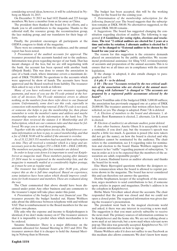considering several ideas, however, it will be celebrated in Nyborg on March 14, 2015.

On December 31 2013 we had 1632 Danish and 225 foreign members. We have a member from as far away as China.

The president then thanked the board for its efforts, and a thank you to all contributors to the magazine. Thanks to the editorial staff, the resource group, the reconstruction group, the lace making group, and our translators for their huge efforts.

Finally, the president encourages all participants at the OIDFA congress to think of the magazine.

There were no comments from the audience, and the annual report has been noted.

*3. Presentation of the audited accounts for approval.* The treasurer presented the accounts handed out to the audience. Information was given regarding merger of our bank. That has meant changes of the fees, but we are still negotiating with the bank. An account has been opened with another bank (Østjysk Bank). This was done to ensure the association in case of a bank crack, where insurance covers a maximum deposit of DKK 750,000.00. No questions to the accounts which were approved by show of hands. The accounts have been approved and the Board resolved from liability. The treasurer then asked to say a few words as follows:

*Many of you have welcomed our new measures regarding payments, and most of you use the FI-code printed at the bottom of all invoices. The FI-code minimizes errors to almost nothing, as the numbers from there refer direct to our financial system. Unfortunately, some don't use this code, especially in connection with membership renewal. If the FI-code is not used, or someone else helps to pay the membership fee, then please remember to write the member's name and address and maybe membership number in the information to the bank box. The treasurer then reviewed the statutes § 4: Membership and §5: Subscription, which are our common rules and that must be followed. We urge you to read those paragraphs..*

*Together with the subscription invoice, the Kniplebrevet contains information on how to pay, to cancel membership, and that a fee of DKK 50.00 will be added if the amount is overdue.*

*As of 31.12.2013 351 members had not paid their subscription on time. They all received a reminder which is a large and unnecessary post in the budget (351 x DKK 8.00 = DKK 2,808.00). The members not paying after first reminder are deleted.*

*In order to keep costs down it is important to send out Kniplebrevet as magazine mail. Those members paying after January 23 2014 must be re-registered in the membership lists, and the magazine is manually mailed at a considerably higher postage, as it must be sent as regular mail.* 

*The treasurer has telephone hours after 16.00 p.m., please respect this as she is full time employed. Based on experience, some initiatives have been taken which should improve conditions for both treasurer and members. These are evaluated along the way* 

The Chair commented that above should have been discussed under point: Any other business and any comments to the treasurer's input will take place under this point.

4*. Presentation of the budget for the next financial year.* The treasurer presents the budget handed out. Hanne Wolthers asks about the difference between telephone with and without VAT. That is reimbursement to the Board members for the use of their own phones.

Elly asks why the expense and income to Knipleshoppen is identical, if we don't make money on it? The treasurer answers that it is impossible to predict when which merchandise is to be ordered.

Susanne Steinmeier: There is a major difference on the amounts allocated for Annual Meeting in 2013 and 2014. The treasurer answers that it is cheaper to hold the Annual Meeting in Nyborg than in Horsens.

The budget has been accepted, this will be the working budget for the board for the coming year.

*5. Determination of the membership subscription for the following financial year.* The board suggests that the subscription remains at DKK 300.00. No alternatives suggested, so the present DKK 300.00 remains .

*6. Suggestions.* The board has suggested changing the constitution regarding election of auditor. The following is suggested: *§ 8 Guidelines for voting rights, elections and resolutions.* **The text "2 critical auditors are elected for 2 years at a time and retire by rotation. 1 alternate auditor is elected for 1 year" to be changed to "External auditor to be chosen by the board for one year at a time"..**

The reason for this suggestion is the extensive demands placed on associations by the public authorities. We recommend professional assistance for filing VAT, revision/scrutiny of accounts and preparation of the annual accounts. This is to ensure that we at all times are in compliance with the current legislation.

If the change is adopted, it also entails changes to paragraphs 6 and 10.

*§ 6 pkt. 8 – to be deleted.*

*§ 10 – The text "Accounts revised by the two critical auditors of the association who are elected at the annual meeting along with 1alternate" is changed to "The accounts are prepared by a registered public accountant selected by the board".* 

Karen Vontillius asks if the budgeted DKK 5,000.00 suffices; the association has previously engaged one at a price of DKK 20,000.00. The treasurer answers that written offers have been solicited, so yes. The change is adopted. Point 7.B. is deleted

*7. A: Election of members to the board and alternates.* 1. alternate: Bent Rasmussen is elected, 2. alternate, Lis B. Larsen is elected.

*B: Election of auditor(s) an alternate auditor, point deleted.*

*8. Any other business.* Anette Olsen: It is acceptable to send a reminder, if you don't pay, but the treasurer's speech was maybe a little too much. A question is posed (the note takers did not get the name), on how the board is elected and why candidates cannot be nominated by the audience. The chair refers to the constitution, see § 6 regarding rules for nomination and election to the board. Hanne Wolthers supports the treasurer in her "ruffle" regarding payment of subscription, "it was in order as it is to be expected that the members of the association are adult, responsible people".

Lis Larsen, Hadsund leaves as auditor alternate and thanks the board for its work.

Else Marie Bjerregård questions whether the designers receive remuneration when the board is allowed to reprint patterns shown in the magazine. The board has never considered this and can therefore not answer the question.

Dorthe Stephansen, keeper of the scrapbook of the association, urges members to send contributions to her, if someone spots articles in papers and magazines. Dorthe's address is in the colophon in Kniplebrevet.

Birthe Marie Virvelkær asked about the accounts. The chair responded that the point was closed and that we could not open a closed point. The requested information was given during the treasurer's presentation.

The president went back to the magical electronic world and asked, it there was any interest in receiving a news mail. The suggestion is that you must actively subscribe to receive the news mail. The primary sources of information continue to be Kniplebrevet and the home site. We are not talking about a news mail at set intervals, but a news mail when relevant news pop up. This idea was generally accepted. Kniplebrevet No. 115 will contain information on how to sign up.

Hanne Wolthers asks if it does not suffice to use Facebook as this medium also allows comments. We don't know how many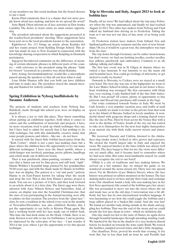of our members use this social medium, but the board chooses to use e-mail.

Karna Pind comments that it is a shame that not more people know about lace making, and how do we spread the word?

Jytte Bjørk Olsen informs us of lace activities in Den fynske Landsby. The desire to learn exists, we must ensure opportunity.

The president informed about the suggestions presented at the teacher/local presidents' meeting. These suggestions have been sent on to the local presidents known to the association.

Kiplebrevet No. 113 brings an article about Katinka Sol and her exams project from Kolding Design School. This article has made its way to New Zealand in connection with the knowledge sharing cooperation in which Knipling in Denmark participates.

Ingegerd Stevnhoved comments on the difference of meaning of certain idiomatic phrases in different parts of the country – with reference to the president using the phrase "falde for brystet" (resented) in a positive way about Katinka.

Jette Asting, Storstrømskniplerne, would like a microphone passed among the speakers so that all can hear what is said.

Lene Holm Hansen tells that you both can have children and time to make lace. The president closed the annual meeting and thanked for orderly conduct.

## **Spring Exhibition in Nyborg husflidsskole by Susanne Andersen**

The projects of students and teachers from Nyborg husflidsskole, made through this school year, were on display on march 22.

It is always a joy to visit this place. They know something about putting an exhibition together, both when it comes to colors and the combination of materials and projects. I have, on more occasions, tried to pick up which technique they use, but I have had to admit for myself, that it has nothing to do with technique, but with this indefinable, creative mind, that some people possess, and others – like me – do not have.

It started with the finest little bobbin-laced pixies from the "Kids Corner", which is not a pure lace-making class, but a place where the children have the opportunity to try out many different techniques. I have seen the finest mobile, where a cloth-hanger was involved, paintings, pretty pillows, handbags and reliefs made out of different beans.

Then it was patchwork, china-painting, ceramics – and who says that a Santa can not be lime-green and still look "right". Hanne Wolther's beautiful lamp, painted by her grandmother 50-60 years ago, and with the shade made by Hanne in bobbinlace, was on display. The pattern is a "cut and paste" pattern. Hanne is on East-Funen known for taking what she needs and drop the rest. This is also how Hanne's picture project is made. You can see a picture of it here, and then look forward to an article about it at a later date. The finest eggs were there, adorned with Aase Nilsson flowers and butterflies. And, of course, on display was also the beautiful Christmas-star, that the ones of you participating in the Annual meeting, were able to admire on that occasion. The jewelery from the "glass-lace" class, by now a tradition in the school every year in the months of November/December, was also exhibited. Besides this, I got the opportunity to say hello to Kirsten Ploug again. She had a working booth with her lace made out of willow bark. This time she had dock-sticks on the block. I think, there is no stick, Kirsten is not able to use for bobbinlace. I am in particular impressed by the color-play of her lace – I just wonder if 2014 is the year, where I get the opportunity to try this special technique.

## **Trip to Slovenia and Italy, August 2013 to look at bobbin lace**

Finally, off we were! We had talked about the trip since February when the trip was announced, and finally we had reached August 24 2013. Two other lace makers from Nyborg and I had talked my husband into driving us to Fredericia. Taking the train at 6 am was not our idea of fun, none of us being early risers.

At Fredericia station lacer makers from Jylland, Fyn and Sjælland gathered; hearty reunions and the start of new friendships. Oh yes, it would be a great tour, the atmosphere was tops from the start.

The trip down through Germany can be rather monotonous, but don't worry: we had our knitting needles, crochet needles, lace pillows, patchwork and embroidery. Common to us all, talking, talking and talking.

The first lace event was in St Gilgen in Austria where we visited a lace museum. It was fantastic to see the many old and beautiful laces. You could get feelings of inferiority or get incited to really try harder!

Onwards to Slovenia, to Cerkno, were we stayed at a small, cozy hotel. The next day was one of the highpoints: we went to the Lace Maker School in Idrija, and just in our honor a threehour workshop was arranged. My first encounter with Idrija lace, very exciting. I only finished half of the fine little butterfly. But I was proud! Of course, plenty of opportunity to buy patterns and thread (my purchases still remain in the bag).

Our route continued towards Venice in Italy. We went by Lido Jessolo, a very popular vacation area, and traffic at snail speed. Luckily we made it in time to the private boat that took us to the Island of Burano, bathed in lovely sunshine. A wonderful island with gorgeous shops and a leaning church tower like the one in Pisa. Then by boat across the Venice Bay with a view to the skyline of Venice. South of the city our bus waited to take us to Sansepolcro for the next four nights. Sansepolcro is an ancient city with thick walls, narrow streets and atmosphere.

We traversed Tuscany and Umbria, listened to the chickadees sing (make noise), looked at olive groves and cypresses. We circled the fourth largest lake in Italy and enjoyed the views. We enjoyed lunches at the buss (which was always well stocked). The days began to blur for me: the views were different, yet much alike, and it became hard to remember where we had seen what. But some local landmarks stayed: we could always recognize the exit to our hotel!

Offida is a city of traditions and lace making history. We arrived on a hot summer day; we missed the guide, so we wandered around the siesta-closed city. There was one special street, Via de Merletto (Lace Makers Street), where the lace history was printed on tablets mounted on the houses. The lace making ladies used to sit here and ply their trade and exchange news. Our chauffeur found a lady, who was making lace in her first floor apartment (the sound of the bobbins gave her away). She was persuaded to move out into the street where she sat and made lace as in the old days. Conversation was a bit difficult, but lace has its own international wordless language. It was fascinating to see how she could joggle the bobbins and a large pillow placed in a bucket-like stand. And she was fast! We found yet another lady sitting outside in the shade and joggling her bobbins. That was the end of the siesta and we could invade the few lace shops in town – which we definitely did.

One day, much too hot to the taste of Danes, we again drove through beautiful landscapes through unending winding roads. We lunched by the bus in the shadow of a very modern church before we headed on towards the wine castle Banfi. We toured the facilities, sampled several wines and did a little shopping.

Our chauffeur, Peter, proved his worth that evening. A tire went flat, but in less than half an hour he and Pernille had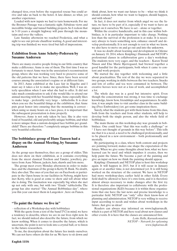changed tires, even before the requested rescue bus could arrive and take us back to the hotel. A late dinner, so what, yet another experience.

Loaded with new inputs we had to turn homewards. For me the Brenner Passage was a fantastic sight. Fabulous views and incredible bridge and tunnel building projects. So I reckon that in 5-10 years a straight highway will pass through the mountains and over the valleys.

Late Sunday afternoon we reached Fredericia, and what a sight to see our private chauffeur waiting. A good and interesting trip was finished; we were tired but full of impressions.

# **Exhibition from Anne Scheby-Pedersen by Susanne Andersen**

There are many creative people living in our little country that make a difference. Anne is one of them. The first time I was so fortunate to meet Anne was in the association's reconstruction group, where she was working very hard to preserve some of the old patterns that we have. Since, there have been several courses among the association's regime or at different fairs.

In 2013, Anne exhibited at the Lace fair in Slagelse and I must say it takes a lot to make me speechless. Well, I was utterly speechless when I saw what she had to offer. It did not take much consideration to ask if she would like to attend our annual meeting with her beautiful things. Anne especially likes to make large - preferably very large – tablecloths. It is clear when you see the beautiful things at the exhibition, that Anne puts great honor into ensuring that the mounting is correct when using so many hours on a lace piece, it is important that the subsequent presentation is done properly.

However, Anne is not only taken by lace. She is also very fond of beautiful, old and preferably unique bobbins, and what is more unique than a custom-designed lace bobbin per grandchild? There are therefore 7 completely unique bobbins in this very beautiful collection.

# **The bobbinlace group of Hans Tausen had a dispay on the Annual Meeting, by Susanne Andersen**

As the group says themselves, they are a group of oldies. This does not show on their exhibition, as it contains everything from the nicest classical Torchon and Tønder, jewellery, pictures from Aase Nilsson, jackets, hats, shawls and lots more.

The group meet every Monday afternoon in order to make lace, and the chairman of the group is Ketty H. Busk. No doubt, they also chat. The ones of you that are on Facebook or participate in the Open house in our facilities in Nyborg, might have met Ketty, who is good at come to show and tell about what she is doing. The fascination was especially big when she met up not only with one, but with two "Etude"-tablecloths. The group has also started "The Annual Bobbinlace-day", where you this year can meet them in Langeskov , here on Funen.

## **"To paint the future we live in"**

- reflection of a Workshop-day with bobbinlace

With the quote from a text of the band TV2 in mind, we have a tendency to describe, where we are in our lives right now. In fact, we should indeed also describe the future, from which we know nothing. When it comes to describe the future, which is uncertain, the point is not to look into a crystal ball, or to listen to the future-researchers.

To me, the description about the future lies inside ourselves. We can not have others do this for us. We have to sit down and

think about, how we want our future to be – what we think it should contain, how what we want to happen, should happen, and with whom?

In fact, it does not matter from which angel we see the future, we have to be part of it, especially if we want to have an impact on it ourselves. We have to act – alone or together.

Within the creative handicrafts, and in this case within bobbinlace, is it in particular important to take charge. Nothing less than the survival of the profession is at stake. It is necessary always to learn something new, enhance oneself and develop professionally. It is not enough to rest in what we know, we also have to move on and go out and into the unknown.

It was no doubt about learning and development in Odense on January 18. 2014, where Knipling i Danmark and NETOP's professional classes in collaboration gave a day's workshop. The students were very eager, and the teachers – Karen Trend Nissen and Else Marie Bjerregaard, had brewed together a good handful for the participants, both when it came to content and work-projects.

We started the day together with welcoming and a little about practicalities. The rest of the day we were separated in two groups, working in shifts between the two teachers. Snacks and lots of coffee and tea were consumed in between. The creative heroes were not at a loss of work, and accomplished a lot.

The whole day was in a good but intensive spirit. Even though the concentration was strong, it was time to exchange knowledge, know how, friendships and acquaintances. In addition, it was ample time to visit another class in the same building (Free Embroidery) iot. get some inspiration there.

Surely, what the students got with them home from this class, both from the teachers and from other students, will help to develop both the single person, and also the whole field of bobbinlace.

The main theme on this workshop-day was: grounds in bobbinlace. One could hear "that this was really a challenge" or " I have not thought of grounds in this way before". This tells me that it is a need, a need to be challenged professionally, and to be placed in a new environment – both professionally and mentally.

By participating in a class, where both content and projects are pointing forward, makes one shape the expectation of the future. When we give some thoughts about how, what we have learned can be used and which impulses it creates, then we help paint the future. We become a part of the painting and give an input on how we think the painting should appear.

Knipling i Danmark and NETOP plan to host this workshop again. It will happen in 2015, but if it will occur in January again or at another time, is not determined yet. It is still being worked on the structure of the content. We have in NETOP had more workshop-days, earlier held in other fields. Every field shall be allowed to have it's own form, and it is therefore almost always necessary to make changes after the first try. It is therefore also important to collaborate with the professional organizations (KiD) because it is within these organizations that one have the last news and precise knowledge to a particular field. NETOP can "only" offer their know-how of planning and administration. NETOP is very willing to receive input according to needs and wishes about workshops in the future. Just give us ideas!

Readers can always stay informed on www.fagkursus.dk. which is a part of NETOP, and here read about new classes and other events. It is here that the classes are announced first.

> *Lotte Helle, Kursuskonsulent NETOP – Netværk for oplysning www.fagkursus.dk*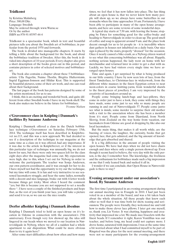# **Trådkonst**

by Kristina Malmberg Price: 300,00 Dkr. Language: Swedish May be ordered through: www.Warne.se Or by the author ISBN no.978-91-85597-44-4

Trådkonst is a spectacular book, which in text and beautiful pictures tells you about the Swedish art of bobbinlace, in particular from the period 1970 and forwards.

The book is divided into manageable chapters. It starts by telling a little about the background for the book, and about the bobbinlace tradition of Sweden. After this, the book is divided into chapters of 10 year periods. Every chapter also gives a short description of the books given out in this period, and contains pictures in color of selected motives and bobbinlaceart.

The book also contains a chapter about these 5 bobbinlaceartists: Ulla Fagerlin, Naime Thorlin, Birgitta Hulterstrøm, Ingrid Eggiman-Jonsson and Hildur Krat. This is supported by beautiful pictures, some of their art-work, and one can read about their background.

The last pages of the book has patterns designed by some of the artists mentioned, for us to use.

I think, this is an exciting and wonderful book, and quite different from other Swedish books I have in my book-shelf. The book also makes me believe in the future for bobbinlace.

*Yvonne Nielsen*

## **s'Gravenmoer class in Knipling i Danmark's facilities By Susanne Andersen**

Knipling i Danmark offered a class in the Dutch bobbinlace technique s'Gravenmoer on Saturday, February 15th, 2014. The technique itself has been described in Kniplebrevet no.113, and this was a new approach. We had decided to see if a description of the technique in our magazine at the same time as a class on it was offered, had any importance. If it was due to the article in Kniplebrevet, or if the interest in this particular type of technique was unusually big, we do not know for sure, but there were only two spaces left for the class eight days after the magazine had come out. My expectations were high, due to this, when I set out for Nyborg in order to welcome the participants. The teacher was Sonja Andersen, our own pattern-coordinator, and it was enough for her to do. I have myself not had the opportunity to try our the technique, but my time will come. It is fun and very instructive to see seasoned lacemakers struggle, and hear the same ladies, normally with a decent and nice language, brake out with 4-letter words because things get tricky. Most often I heard the comment "yes, but this is because you are not supposed to set a needle there ". I have seen a couple of the finished products and hope that, as the rest of you finish your lace, you will take a picture and send it to us, so we can see the nice results.

## **Derfor afholder Knipling i Danmark åbenhus**

Knipling I Danmark tried to hold an open house on it's location in Odense in connection with the association's 25th anniversary. Even though very few showed up, the idea still lingered in our heads when we moved to our location in Nørrevoldgade in Nyborg, where we all of a sudden had a whole apartment to our disposition. What could be more obvious than to try it again here?

After some start-difficulties about how often and how many

times, we feel that it has now fallen into place. The fun thing about an open house is, that we never know how many people will show up, so we always have some butterflies in our stomachs when the time approaches 10 am. Fortunately, I have been able to participate in many of the open house arrangements, and here are some reviews of some wonderful days.

A typical day starts at 7:30 am. with leaving the house, stopping by Føtex for something good for the coffee-brake and heading to Nørrevoldgade in order to clean up. The good smell of coffee and soap is apparent around 9 am. and the place look decent enough for us to let people in - it is incredible where dust gathers in houses not inhabited on a daily basis. Our nice sign is placed by the stairs, properly "dressed" for the occasion. Once it nearly caused a bike-crash, as a Nyborg citizen wanted to see what this concerning bobbinlace was all about. Happily, nothing serious happened, the lady went on home with her merchandise and returned later in order to get a chat with us. Luckily, we have had visitors every single time we have arranged open houses.

Time and again, I get surprised by what is being produced in our little country. I have by now seen lots of lace, from the finest Tønderlace, to Christmas-lace in wickerwork, from the different white nuances in the finest Egyptian cotton to neat neon-colors in coarse knitting-yarns, from wonderful shawls to the finest pieces of jewellery. I am very impressed by the creativity of lacemakers around us.

People come bringing lunch-bags and lace-pillows, they come in order just to have a look, they come with things they have made, some come just to see why so many people are running in and out of Nørrevoldgade 57. People come justto see what is inside, some inorder to surprise their old mother with a visit to the association where she has been a member from it's start. People come from Djursland, from North Slesvig, from Zealand on the way home from vacation, our lacemakers from Odense are good at dropping by, like also our local lacemakers.

But the main thing, that makes it all worth while, are the buzzing of voices, the laughter, the curiosity, books that get opened, lace, that gets admired, and the big amount of knowledge that gets absorbed and shared.

It is a big difference in the amount of people visiting the open houses. We have had days when we did not have chairs enough and days where only a single person showed up. Even though it seems hard to believe, the very day with the only person, is the day I remember best. The knowledge, the liveliness and the enthusiasm for bobbinlace made such a big impression on me that I only leaned back and sucked it all in.

I wonder if we can conclude, that Open House in Nørrevoldgade is there to stay?

## **Evening arrangement under our association's hood. By Susanne Andersen**

The first time I participated in an evening arrangement during our annual meeting was in Fraugde in 2010. I had just been voted in as a member of the board, and was a bit taken back about the whole situation. All these people that knew each other so well that it was time both for show, teasing and seriousness. The people were friendly, they welcomed me and told how to make those clever lace pillows. I later got one myself, so, thank you, Lis Vester. It was chatting, happiness and creativity that impressed me a lot. We made nice bracelets with the finest beads. If I remember it right, Karen Vontillius was our teacher, and before long, my head could not capture more. I drove home, saturated with impressions. I was at the same time a bit worried about what I had committed myself to be part of. Ringsted was the place for the next annual meeting, and there were not so many participants for the evening-arrangement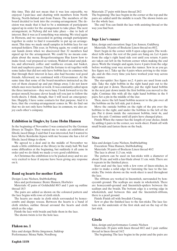this time. This did not mean that it was less enjoyable, we enjoyed 3-pair-lace and chatting with members from North Slesvig, North-Jutland and from Funen. The members of the board decided to look into the evening-arrangement. The decision was made that it had to be a minimum of participants signed up in order for the arrangement to take place. The next arrangement, in Nyborg did not take place – due to lack of interest. But it was as if something was missing. We tried again in Horsens, and we succeeded in getting enough participants together in order to find it reasonable to put up an arrangement. This time we made small samples in bobbin lace for our notepad-holders. This year, in Nyborg again, we could not get our hands down when we discovered that 32 members had signed up for the arrangement. We could by no means complain about the menu. Borgerforeningens Hus know how to make food, veal prepared as venison, Waldorf-salad and pickles, and afterward, coffee and vanilla-ice cream, nut basket, fruit and raspberry-puree. I had the fortune to sit together with some ladies that did not only have bobbin lace in common, but that through their interest in lace, also had become real good friends. Afterward, we continued with s'Gravenmoer. At the same time that some of the board-members instructed us, the rest of them cleaned up and put things away. I do not know which ones were hardest at work. It was constantly called upon the three instructors – they were busy. I look forward to try the project myself, because clever heads tell you just to follow the work-sheets. I think, though, that I will need an emergencyline. Happily, I have some contacts for that purpose. And it is here, that the evening-arrangement comes in. We do find out that we do not only have bobbin lace in common, we also enjoy each other's company.

## **Exhibition in Tinglev, by Lene Holm Hansen**

In the beginning of November I was contacted by the German library in Tinglev. They wanted me to make an exhibition of filtede, laced things. I said that I was interested, but I wanted to have Mette Korsholm Jepsen with me because she has a lot of filtede, laced things to show.

We agreed to a deal and in the middle of November we made a little exhibition at the library in the study hall. We had some difficulties at the beginning, but suddenly it all came in order and we do think we made a very good exhibition.

At Christmas the exhibition is to be packed away and we are very excited to hear if anyone have been giving any response on it.

## **Band og hearts for mother Earth**

Design: Lone Nielsen, Stubbekøbing

Idea and performance: Bente Hansen, Horbelev

Materials: 42 pairs of Goldschild 80/3 and 1 pair og outline thread 18/3

The pairs are added as shown on the coloured pattern and the lace begins with rows of cloth stitch.

The hearts are made in cloth stitch sorrounded by honeycombs and dieppe reseau. Between the hearts is a band of cloth stitches, outline thread arround the hearts and cloth stitch as the edge.

Finish the lace with braids and hide them in the lace.

The shown twists is for the hole lace.

## **Flakon no. 1**

Idea and design: Britta Jørgensen, Suldrup Performance: Mona Nøhr, Nordborg

#### **English 115/8**

Materials: 27 pairs with linen thread 28/2

The beginning: The lace begins in the corner at the top and the pairs are added until the middle is reach. The shown twists are for the whole lace.

The end: You can finish the lace with assisting thread or the way you find best.

#### **Inge Lise's runner**

Idea, design and execution: Inge Lise Jensen, Guldberg

Materials. 38 pairs of Bockens Linen thread no.40/2.

Start: begin in the corner with 8 open edge-pairs. The worksheet tells where the rest of the pairs are hung on. Let 4 pairs from the edge's right hand side rest until you return. 6 pairs are taken out left in the bottom corner when making the end piece. Work the triangle and again, leave 4 pairs from the edge before working your way across the runner. Sew in as you go. See figure no.1. Take up the 4 pairs when arriving to the triangle, and do this every time you have worked your way across the runner.

The star-spider: See figure no.2. 4 pairs are used from each side. Take the right bobbin in the right hand pair out to the right and put it down. Thereafter, put the right hand bobbin in the next pair down inside the first bobbin you moved to the right. Continue this with all the right hand bobbins in the 8 pairs. Set a pin in the middle of the star.

Then, move the left hand bobbin nearest to the pin over all the bobbins on the left side, put it down.

Move the outside bobbin on the right of the pin over the bobbins to the right, and under the bobbins to the left of the pin. Put it down inside the outermost bobbin, twist 4x, and leave the pair. Continue until all pairs have changed place.

Finish: When the runner has the length of your choice, finish by adding 6 pairs in the corner, see work-sheet. Finish off with small braids and fasten them on the back.

#### **Nina**

Idea and design: Lone Nielsen, Stubbekøbing

Execution: Nina Hansen, Stubbekøbing

Materials: 50 pairs of Bockens Linen thread 40/2

The lace is about 11,5 cm. wide

The pattern can be used on fan-sticks with a diameter of about 38 cm. and with a fan-blade about 11 cm. wide. There are 6 repeats in the finished piece.

Start and end the lace with a few rows of linen-stitches, in order to make a solid edge for fastening the lace to the fansticks. The twists shown on the work-sheet is used throughout the lace.

The ribbons are worked in linenstitch, surrounded by honeycomb ground. The scallops are made in wholestitch. There are honeycomb-ground and linenstitch-spiders between the scallops and the braids. The bottom edge is a sewing edge in wholestitch, and between this and the linenstitch-ribbons, there is a pearl ground.

Finish: Finish off with Swedish Closing.

Sew or glue the finished lace to the fan-sticks. The lace fastens on the underside of the first stick and on the top of the last stick.

#### **Gisela**

Idea, design and performance: Lonnie Nielsen

Materials: 20 pairs with linen thread 60/2 and 1 pair outline thread in linen thread 16/2

The beginning: The lace begins in the point and the pairs are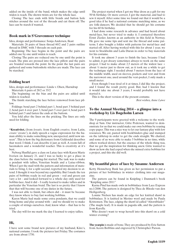added on the inside of the band, which makes the edge until widen is reach. The shown twists are for the whole lace.

Closing: The lace ends with little braids and button hole stitches around the rest of the threads and cut them off. The lace can be starch if wanted.

#### **Book mark in S'Gravenmoer technique**

Idea, design and performance: Sonja Andersen, Ikast

Materials: 26 pairs of linen thread 60/2 and 2 pairs outline thread in DMC with 3 threads on each pair.

Beginning: The lace begins in the point and the pairs are added one by one until widen is reach.

Closing: The pairs are reduced one by one until the point is reach. The pins are pressed into the lace pillow and the pairs are braided towards the point. In the point the last pairs are gathered and some buttonhole stitches are made. The lace can be starched.

#### **Folding heart**

Idea, design and performance: Linda v. Olsen, Harndrup Materials: 6 pairs of 28/2 or 35/2

The beginning: on the bias and the pairs are added until widen is reached.

The finish: starching the lace before remowed from lace pillow.

Foldings: bend part 2 behind part 1, bend part 3 behind part 2, bend part 4 over part 3, bend part 5 over part 4, bend part 6 behind part 5 and fasten the ends at the buttom.

You fold after the lines on the pricking. The lines are only used for folding.

**"Kreativitet,** (from *kreativ,* from English *creative,* from Latin, *creare* 'create'), in daily speech a vague expression for the human ability to make something new, unexpected, until now unseen". This is how the big dictionary from Gyldendal describes that word. I think, I can describe it just as well. A room full of lacemakers and a wonderful teacher. This is creativity at it's best.

Nyborg Husflid gave a class on Lutac-lace with Karen Marie Iversen on January 21. and I was so lucky to get a place in the class before the waiting-list started. The task was to make a pendant with tallies, Venetian braids and a Lutac-ribbon. When I got the mail with the pattern and information of materials to bring, I, for a split second, regretted my decision to attend. I thought it was beyond my capability. But I made the ten pairs of bobbins ready in red and green – red and green can vary a lot - and looked forward to a whole day only used for bobbin-lace. And it did – I really learned to make tallies and in particular the Venetian braid. The last is so pretty that I know that that will become one of my duties in the future.

I was not able to finish, but others did – it must be because they know where to buy fast working bobbins.

Karen Marie had made some extra pendants, that we could bring home and play around with – and we should try to make a couple of strings ourselves. And, know what – that has to be tried.

The day will for me mark the day I learned to enjoy tallies.

# **Hi,**

I have sent some brand new pictures of my husband, Kåre's, national costume. I took the pictures last Friday. The costumes are from about 1750.

The project started when I got my blue dress as a gift for my 50'th birthday. Or more correct, I got the material, and had to sew it myself. After some time we found out that it would be a good idea if he had a national costume matching mine, as we are folk-dancers. We decided that he should get his costume for his 60'th birthday.

I had done some research in advance and had heard about metal-lace, but never tried to make it. I contacted therefore Ernst Ziesler, known as an authority in this field in Norway. He gave me some tips and sent me the thread and some patterns. I also bought a folder with patterns for metal-lace and started off. After having worked with this for about 1 year, we went to Stockholm and Laila Duran in order to buy materials for his costume.

It took me almost 3 years to finish the lace, because I had to admit, it got dreary sometimes always to work on the same project. I had to make about 2,5 meters of the widest lace + about ½ meter just to throw out, as it took me a while to get the technique right. I needed about 5 meters from the lace of the middle width, used on sleeves, pockets and vest and from the narrowest one, used around the vest-pocket, I only made a small meter.

Even though I was tired of it at times, I did like the project, and I found the result pretty good. But, had I known that it would take me about 3 years, I would probably not have started it.

This is the short version of the present costume. *Best wishes, Anne Løwe*

# **To the Annual Meeting 2014 – a glimpse into a workshop by Lis Bøgeholm Larsen**

The 9 participants were greeted with a welcome to the workshop at 9am. Our instructor, Gitte Pedersen, wanted to demonstrate for us that we could make our own bobbins by reusing copy-paper. This was a nice way to let our fantasy play with few resources. We cut, pasted with bookbinders glue and stamped on the tabletop in order to get the ends straight. We chatted, and some of us were able to make 5 bobbins in no time, while others worked slower, but the essence of the whole thing was, that we got the inspiration for thinking anew. Gitte wanted to show us how she had coped when she missed extra bobbins for a project, and this she did well.

# **My beautiful piece of lace by Susanne Andersen**

Ketty Henneberg Busk has given us her permission to put a picture of her bobbinlace in winter- clothing into our magazine.

The pattern can be found in Knipling i Danmark's book "Knipling anno 2011"

Karna Pind has made owls in bobbinlace from Lace Express no.1/2006. The pattern is designed by Thea de Rhode-van den Heiligenberg.

Lonnie Nielsen has made an edge for her knitted shawl in bobbinlace. It is knitted in Merino wool and made by Paula Kristensen. The lace, edging the shawl id called "Ahornbladet" (The maple leaf). It is made in pagoda silk, and the pattern is from Karelly.

Who doesn't want to wrap herself into this shawl on a cold winter evening?

**The yearpin** is made of bone. They are produced by Eric Sutton from Acorn Bobbins and engraved by Christopher Parson.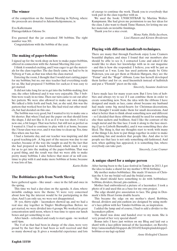## **The winner**

of the competition on the Annual Meeting in Nyborg, where the proceeds are donated to Julemerkehjemmene, is:

Eva Kallermann Flintagerløkken Odense Sv.

Eva guessed that the jar contained 300 bobbins. The right number was 301.

Congratulations with the bobbin of the year.

# **The making of paper-bobbins**

I signed up for the work-shop on how to make paper-bobbins, offered in connection with the Annual Meeting this year.

I think it sounded exciting, and I was eager to get the materials for the class together. The day finely came, we had to be in Nyborg at 9 am, as that was when the class started.

Entering the room, I thought that I would start cutting paper for my bobbins, but no, our nice teacher had everything ready for us. She had prepared 5 bobbins for each,so it was easy to get started.

It did not take long for us to get into the bobbin-making, first one, the other followed and it was very enjoyable. The 5 bobbins were ready in no time. Then our turn came to cut out after her pattern. We were also allowed to make our own designs. We talked a little forth and back, but, as she said, this was the pattern that worked best for her. She had tried out other models, but had decided on this one.

The bobbin was very good, but I wanted to try to make one a bit shorter. But when I had put the paper on that should form the shape, I did not like it. It is as if it was too short. I tried a new one, a bit longer. That was better, but still not as perfect as I wanted it. I had to continue to play with it at home, because the 3 hour-class was over, and it was time to clean up. Yes, time flies when one has fun.

I had a fantastic day, and our teacher was inspiring and did a good teaching-job . A big part of the success was due to our teacher, because of the way she taught us and by the fact that she had prepared so much beforehand, which made it easy for us to get into the making of the paper-bobbins. That was a good thing, and the result was that we were able to make pretty many bobbins. I also believe that most of us will continue to play with it and make more bobbins at home, because it was lots of fun.

*Karin Holm* 

# **The Bobbinlace-girls from North Slesvig**

have gathered again – like usual – once in the fall and once in the spring.

This time we had a day-class on the agenda. A class, where invisible endings were the theme. Vi were very concerned about how big the interest would be for participating in this class. And I can only say, we were not disappointed.

38 -yes, thirty-eight – lacemakers showed up, and we had a real nice day together in Tinglev Medborgerhus. Before we got started, we were divided into 4 groups. We worked in great concentration until noon, where it was time to open our lunch boxes and get something to eat.

After lunch – refreshed and ready to start again - we worked until 4pm.

The 4 of us that had been in charge of the class, were very proud by the fact that it had been so well received and that so many showed up. It gives a wonderful experience and lots of energy to continue the work. Thank you to everybody that took part in the class together with us.

We used the book: UNSICHTBAR by Martina Wolter-Kampmann. She had given me permission to use her ideas for the class. I also want to thank Tinne Hansen, for letting me use her materials on invisible finishings.

Thank you for a nice event.

*Mona Nøhr, Hella Jacobsen, Lissi Hansen and Kirsten Brodersen*

# **Playing with different handicraft-techniques.**

There are many that through Facebook enjoy Lone Cramers beautiful displays, and since I found that our members also should be able to see it, I contacted Lone and asked if she would like to share her knowledge with us in our magazine - and this is how she responded. I believe, you will be just as impressed as I was. Lone has used patterns made by Gitte Pedersen, you can get them at Hedens Hørgarn, they are the "Femø" and the "Bogø" ribbons. Lone has herself developed them farther and for ex. used linenstitch instead of halfstitch and put a "Flemish" picot on the side.

*Sincerely, Susanne Andersen*

I have made lace for many years now. But I love lots of hobbies and always try to see if I can combine them in order to create something new. Now, the idea with the ribbons I have designed and made as lace, came about because my husband had made some big metal-hearts for Christmas-decorations, and I thought I would make them for small decorations. And what is better than to think about something new and different – so I decided that these ribbons should be used for something else than sachets and bedlinen. And I like the contrast of the rough metal and the fine lace. I took it along to the lace-meeting (I go to Lisbeth Burmølle), and it was something they also liked. The thing is, that my thoughts start to work with many of the things I do, how to put things together in order to make something fun and modern that people like. And also to let people see that lace is not only something old-fashioned. And now, when quilting has appeared, it is something fun, where everybody can take part.

*Sincerely, Lone Cramer*

# **A unique shawl for a unique person**

After having been to the Lace-festival in Tønder in 2013, I got the idea to make a shawl for my mother's 90'th birthday.

My mother makes bobbinlace. She made 10 meters of Christian the 4. for my bridal veil and the bridal crown.

The shawl should have something to do with bobbinlace: bobbins, dividers, thread, pin-cushion.....

Mother had embroidered a picture of a lacemaker. I took a photo of it and used this as a base for my own project.

The edge should give association to lace. The gimp in Denmark's little Heart forms double hearts.

This became the edge on my mother's shawl. Bobbins, thread, dividers and pin-cushion are designed by using mother's lace-pillow with her Tønder-bobbins on, as inspiration.

I added the lamp and of course, I had to add a divider to the lacemakers pillow.

The shawl was done and handed over to my mom. She is very proud of her very special shawl!

Bonus info: I have just written on my Blog and laid out a shawl with a lace-pillow instead of the lacemaker, on Ravelry. http://annesindfald.blogspot.dk/2014/02/kniplepindekloppelbobbins-er-nu-lagt-op.html